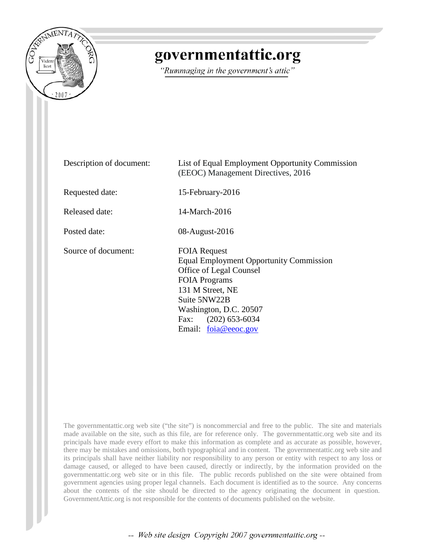

# governmentattic.org

"Rummaging in the government's attic"

| Description of document: | List of Equal Employment Opportunity Commission<br>(EEOC) Management Directives, 2016                                                                                                                                                   |
|--------------------------|-----------------------------------------------------------------------------------------------------------------------------------------------------------------------------------------------------------------------------------------|
| Requested date:          | 15-February-2016                                                                                                                                                                                                                        |
| Released date:           | 14-March-2016                                                                                                                                                                                                                           |
| Posted date:             | 08-August-2016                                                                                                                                                                                                                          |
| Source of document:      | <b>FOIA Request</b><br><b>Equal Employment Opportunity Commission</b><br>Office of Legal Counsel<br><b>FOIA Programs</b><br>131 M Street, NE<br>Suite 5NW22B<br>Washington, D.C. 20507<br>Fax: $(202)$ 653-6034<br>Email: foia@eeoc.gov |

The governmentattic.org web site ("the site") is noncommercial and free to the public. The site and materials made available on the site, such as this file, are for reference only. The governmentattic.org web site and its principals have made every effort to make this information as complete and as accurate as possible, however, there may be mistakes and omissions, both typographical and in content. The governmentattic.org web site and its principals shall have neither liability nor responsibility to any person or entity with respect to any loss or damage caused, or alleged to have been caused, directly or indirectly, by the information provided on the governmentattic.org web site or in this file. The public records published on the site were obtained from government agencies using proper legal channels. Each document is identified as to the source. Any concerns about the contents of the site should be directed to the agency originating the document in question. GovernmentAttic.org is not responsible for the contents of documents published on the website.

-- Web site design Copyright 2007 governmentattic.org --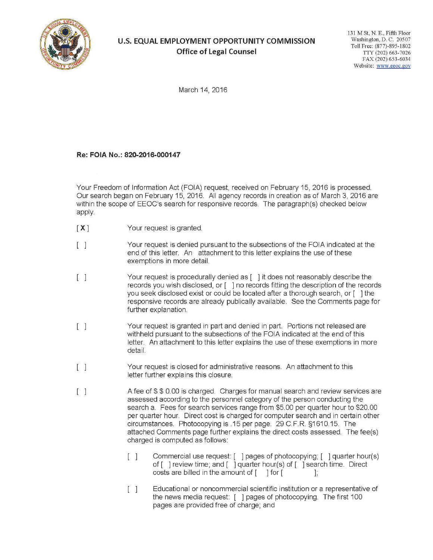

# **U.S. EQUAL EMPLOYMENT OPPORTUNITY COMMISSION Office of Legal Counsel**

131 M St, N. E., Fifth Floor Washington, D. C. 20507 Toll Free: (877)-895-1802 TTY (202) 663-7026 FAX (202) 653-6034 Website: www.eeoc.gov

March 14, 2016

## **Re: FOIA No.: 820-2016-000147**

Your Freedom of Information Act (FOIA) request, received on February 15, 2016 is processed. Our search began on February 15, 2016. All agency records in creation as of March 3, 2016 are within the scope of EEOC's search for responsive records. The paragraph(s) checked below apply.

- $[X]$ Your request is granted.
- $\mathbb{I}$   $\mathbb{I}$ Your request is denied pursuant to the subsections of the FOIA indicated at the end of this letter. An attachment to this letter explains the use of these exemptions in more detail.
- $\mathbb{I}$   $\mathbb{I}$ Your request is procedurally denied as [ ] it does not reasonably describe the records you wish disclosed, or [ ] no records fitting the description of the records you seek disclosed exist or could be located after a thorough search, or [ ] the responsive records are already publically available. See the Comments page for further explanation.
- $\lceil$   $\rceil$ Your request is granted in part and denied in part. Portions not released are withheld pursuant to the subsections of the FOIA indicated at the end of this letter. An attachment to this letter explains the use of these exemptions in more detail.
- $\begin{bmatrix} 1 \end{bmatrix}$ Your request is closed for administrative reasons. An attachment to this letter further explains this closure.
- $\lceil$   $\rceil$ A fee of \$ \$ 0.00 is charged. Charges for manual search and review services are assessed according to the personnel category of the person conducting the search a. Fees for search services range from \$5.00 per quarter hour to \$20.00 per quarter hour. Direct cost is charged for computer search and in certain other circumstances. Photocopying is .15 per page. 29 C.F.R. §1610.15. The attached Comments page further explains the direct costs assessed. The fee(s) charged is computed as follows:
	- [ ] Commercial use request: [ ] pages of photocopying; [ ] quarter hour(s) of [ ] review time; and [ ] quarter hour(s) of [ ] search time. Direct costs are billed in the amount of  $\lceil \quad \rceil$  for  $\lceil \quad \rceil$ ;
	- [ ] Educational or noncommercial scientific institution or a representative of the news media request: ( ] pages of photocopying. The first 100 pages are provided free of charge; and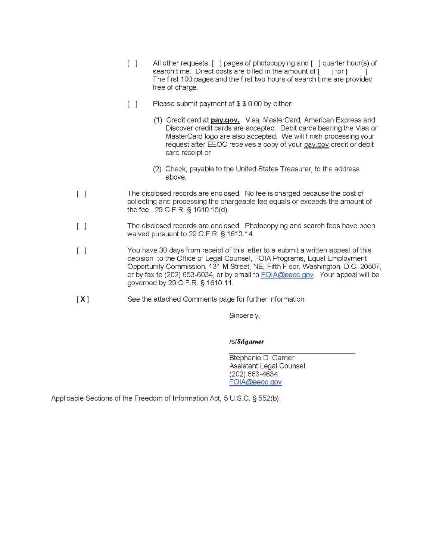- [ ] All other requests: [ ] pages of photocopying and [ ] quarter hour(s) of search time. Direct costs are billed in the amount of [ ] for [ The first 100 pages and the first two hours of search time are provided free of charge.
- $\begin{bmatrix} 1 & \end{bmatrix}$  Please submit payment of \$ \$ 0.00 by either:
	- (1) Credit card at **pay.gov.** Visa, MasterCard, American Express and Discover credit cards are accepted. Debit cards bearing the Visa or MasterCard logo are also accepted. We will finish processing your request after EEOC receives a copy of your pay.gov credit or debit card receipt or
	- (2) Check, payable to the United States Treasurer, to the address above.
- $\mathbb{I}$ The disclosed records are enclosed. No fee is charged because the cost of collecting and processing the chargeable fee equals or exceeds the amount of the fee. 29 C.F.R. § 1610.15(d).
- $\mathbb{I}$ The disclosed records are enclosed. Photocopying and search fees have been waived pursuant to 29 C.F.R. § 1610.14.
- $\mathbb{I}$   $\mathbb{I}$ You have 30 days from receipt of this letter to a submit a written appeal of this decision to the Office of Legal Counsel, FOIA Programs, Equal Employment Opportunity Commission, 131 M Street, NE, Fifth Floor, Washington, D.C. 20507, or by fax to (202) 653-6034, or by email to FOIA@eeoc.gov. Your appeal will be governed by 29 C. F.R. § 1610.11.
- **[X]**  See the attached Comments page for further information.

Sincerely,

#### /s/**Sdgarner**

Stephanie D. Garner Assistant Legal Counsel (202) 663-4634 FOIA@eeoc.gov

Applicable Sections of the Freedom of Information Act, 5 U.S.C. § 552(b):